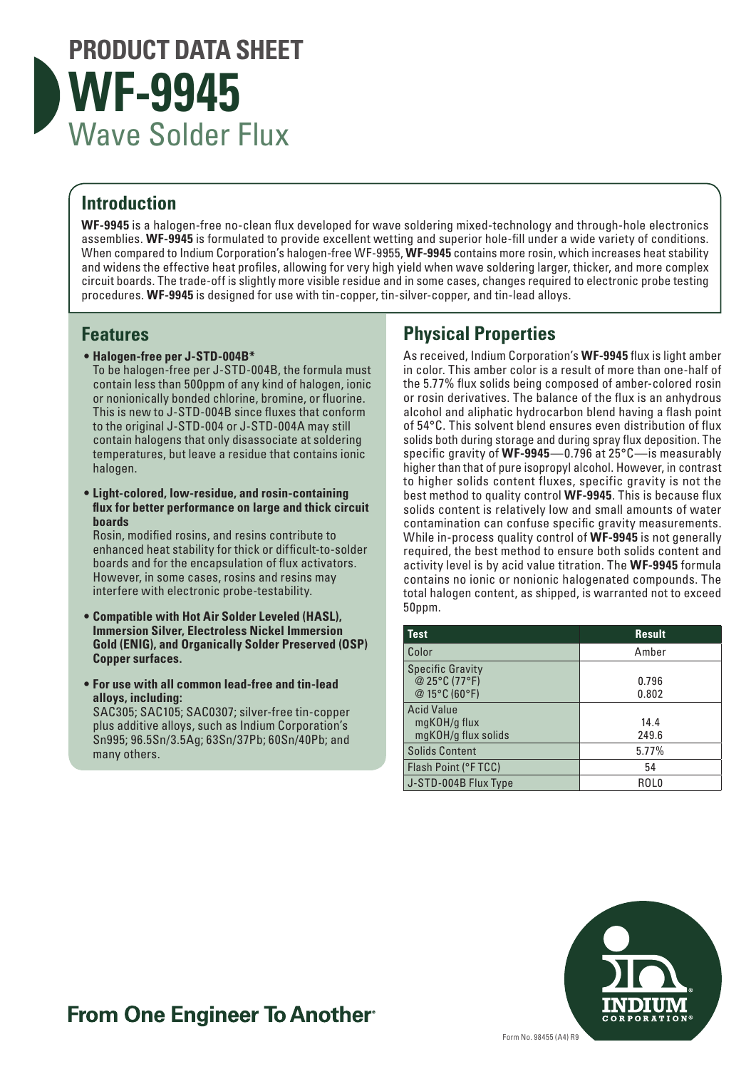

#### **Introduction**

**WF-9945** is a halogen-free no-clean flux developed for wave soldering mixed-technology and through-hole electronics assemblies. **WF-9945** is formulated to provide excellent wetting and superior hole-fill under a wide variety of conditions. When compared to Indium Corporation's halogen-free WF-9955, **WF-9945** contains more rosin, which increases heat stability and widens the effective heat profiles, allowing for very high yield when wave soldering larger, thicker, and more complex circuit boards. The trade-off is slightly more visible residue and in some cases, changes required to electronic probe testing procedures. **WF-9945** is designed for use with tin-copper, tin-silver-copper, and tin-lead alloys.

#### **Features**

**• Halogen-free per J-STD-004B\***

To be halogen-free per J-STD-004B, the formula must contain less than 500ppm of any kind of halogen, ionic or nonionically bonded chlorine, bromine, or fluorine. This is new to J-STD-004B since fluxes that conform to the original J-STD-004 or J-STD-004A may still contain halogens that only disassociate at soldering temperatures, but leave a residue that contains ionic halogen.

**• Light-colored, low-residue, and rosin-containing flux for better performance on large and thick circuit boards**

Rosin, modified rosins, and resins contribute to enhanced heat stability for thick or difficult-to-solder boards and for the encapsulation of flux activators. However, in some cases, rosins and resins may interfere with electronic probe-testability.

- **• Compatible with Hot Air Solder Leveled (HASL), Immersion Silver, Electroless Nickel Immersion Gold (ENIG), and Organically Solder Preserved (OSP) Copper surfaces.**
- **• For use with all common lead-free and tin-lead alloys, including:**

SAC305; SAC105; SAC0307; silver-free tin-copper plus additive alloys, such as Indium Corporation's Sn995; 96.5Sn/3.5Ag; 63Sn/37Pb; 60Sn/40Pb; and many others.

### **Physical Properties**

As received, Indium Corporation's **WF-9945** flux is light amber in color. This amber color is a result of more than one-half of the 5.77% flux solids being composed of amber-colored rosin or rosin derivatives. The balance of the flux is an anhydrous alcohol and aliphatic hydrocarbon blend having a flash point of 54°C. This solvent blend ensures even distribution of flux solids both during storage and during spray flux deposition. The specific gravity of **WF-9945**—0.796 at 25°C—is measurably higher than that of pure isopropyl alcohol. However, in contrast to higher solids content fluxes, specific gravity is not the best method to quality control **WF-9945**. This is because flux solids content is relatively low and small amounts of water contamination can confuse specific gravity measurements. While in-process quality control of **WF-9945** is not generally required, the best method to ensure both solids content and activity level is by acid value titration. The **WF-9945** formula contains no ionic or nonionic halogenated compounds. The total halogen content, as shipped, is warranted not to exceed 50ppm.

| <b>Test</b>                                               | <b>Result</b>  |
|-----------------------------------------------------------|----------------|
| Color                                                     | Amber          |
| <b>Specific Gravity</b><br>@ 25°C (77°F)<br>@ 15°C (60°F) | 0.796<br>0.802 |
| <b>Acid Value</b><br>mgKOH/g flux<br>mgKOH/g flux solids  | 14.4<br>249.6  |
| <b>Solids Content</b>                                     | 5.77%          |
| Flash Point (°FTCC)                                       | 54             |
| J-STD-004B Flux Type                                      | ROL0           |



## **From One Engineer To Another**®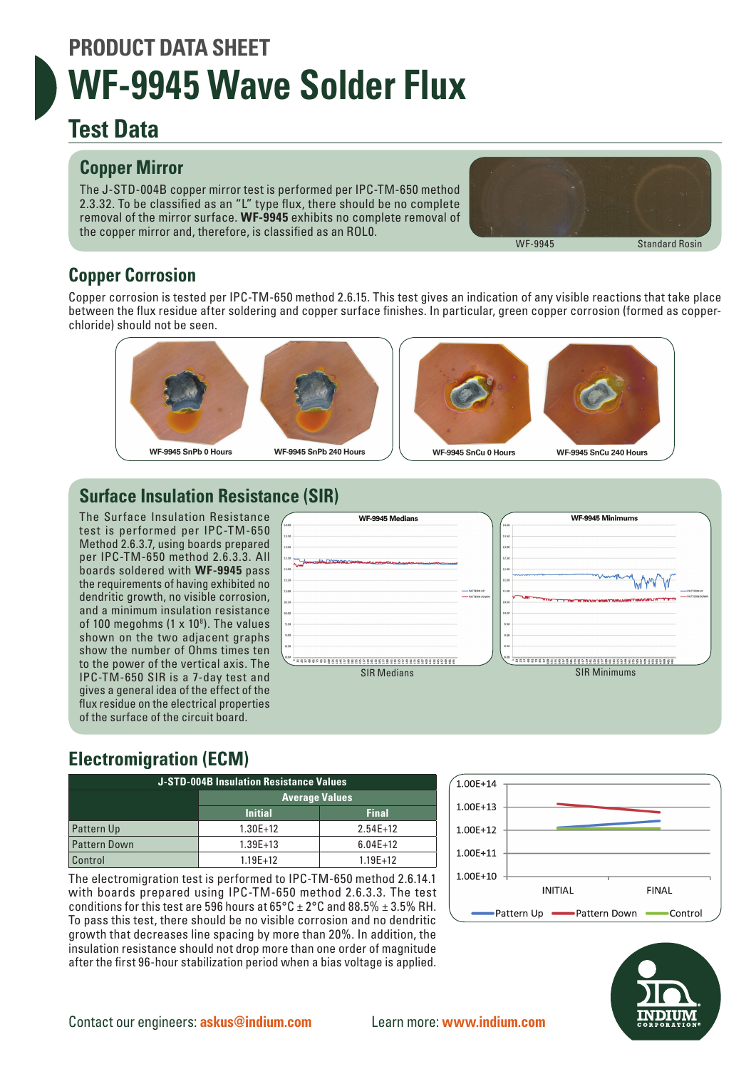## **PRODUCT DATA SHEET WF-9945 Wave Solder Flux**

## **Test Data**

### **Copper Mirror**

The J-STD-004B copper mirror test is performed per IPC-TM-650 method 2.3.32. To be classified as an "L" type flux, there should be no complete removal of the mirror surface. **WF-9945** exhibits no complete removal of the copper mirror and, therefore, is classified as an ROL0.



### **Copper Corrosion**

Copper corrosion is tested per IPC-TM-650 method 2.6.15. This test gives an indication of any visible reactions that take place between the flux residue after soldering and copper surface finishes. In particular, green copper corrosion (formed as copperchloride) should not be seen.







#### **Surface Insulation Resistance (SIR)**

The Surface Insulation Resistance test is performed per IPC-TM-650 Method 2.6.3.7, using boards prepared per IPC-TM-650 method 2.6.3.3. All boards soldered with **WF-9945** pass the requirements of having exhibited no dendritic growth, no visible corrosion, and a minimum insulation resistance of 100 megohms (1  $\times$  10<sup>8</sup>). The values shown on the two adjacent graphs show the number of Ohms times ten to the power of the vertical axis. The IPC-TM-650 SIR is a 7-day test and gives a general idea of the effect of the flux residue on the electrical properties of the surface of the circuit board.



## **Electromigration (ECM)**

| J-STD-004B Insulation Resistance Values |                       |              |  |  |  |  |
|-----------------------------------------|-----------------------|--------------|--|--|--|--|
|                                         | <b>Average Values</b> |              |  |  |  |  |
|                                         | <b>Initial</b>        | <b>Final</b> |  |  |  |  |
| <b>Pattern Up</b>                       | $1.30E+12$            | $2.54E+12$   |  |  |  |  |
| Pattern Down                            | $1.39E+13$            | $6.04E+12$   |  |  |  |  |
| Control                                 | $1.19E + 12$          | $1.19E + 12$ |  |  |  |  |

The electromigration test is performed to IPC-TM-650 method 2.6.14.1 with boards prepared using IPC-TM-650 method 2.6.3.3. The test conditions for this test are 596 hours at  $65^{\circ}$ C  $\pm$  2°C and 88.5%  $\pm$  3.5% RH. To pass this test, there should be no visible corrosion and no dendritic growth that decreases line spacing by more than 20%. In addition, the insulation resistance should not drop more than one order of magnitude after the first 96-hour stabilization period when a bias voltage is applied.



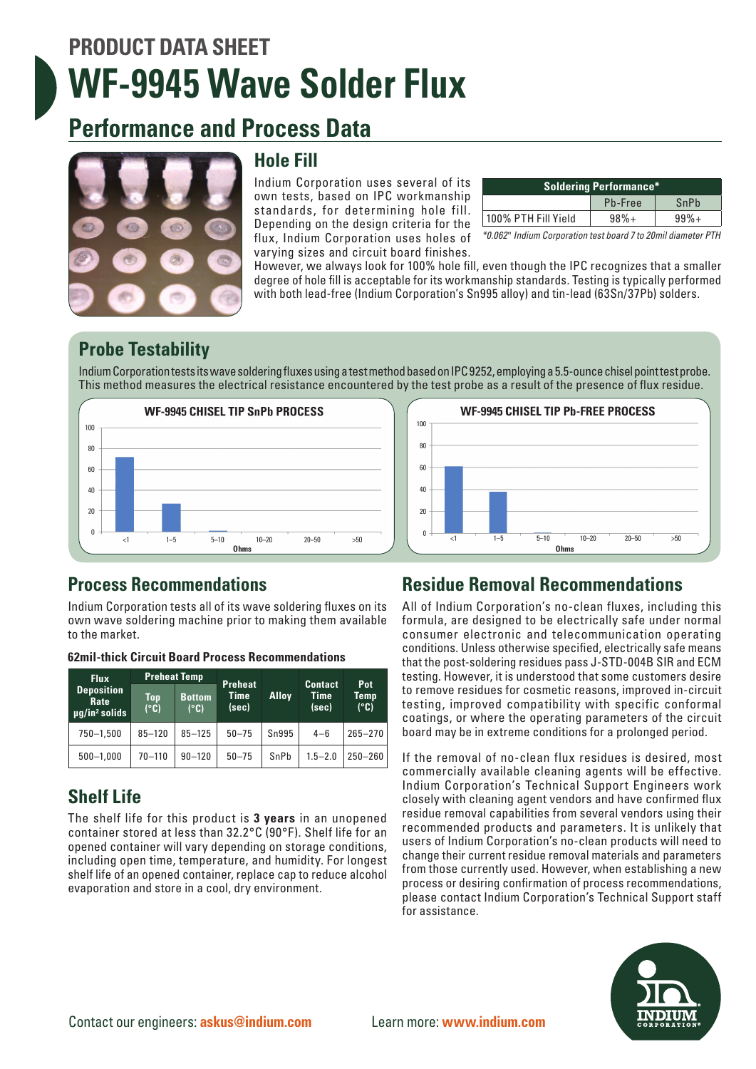# **PRODUCT DATA SHEET WF-9945 Wave Solder Flux**

## **Performance and Process Data**



#### **Hole Fill**

Indium Corporation uses several of its own tests, based on IPC workmanship standards, for determining hole fill. Depending on the design criteria for the flux, Indium Corporation uses holes of varying sizes and circuit board finishes.

| <b>Soldering Performance*</b> |         |        |  |  |  |
|-------------------------------|---------|--------|--|--|--|
|                               | Pb-Free | SnPb   |  |  |  |
| 100% PTH Fill Yield           | $98%+$  | $99%+$ |  |  |  |

*\*0.062*" *Indium Corporation test board 7 to 20mil diameter PTH*

However, we always look for 100% hole fill, even though the IPC recognizes that a smaller degree of hole fill is acceptable for its workmanship standards. Testing is typically performed with both lead-free (Indium Corporation's Sn995 alloy) and tin-lead (63Sn/37Pb) solders.

#### **Probe Testability**

Indium Corporation tests its wave soldering fluxes using a test method based on IPC 9252, employing a 5.5-ounce chisel point test probe. This method measures the electrical resistance encountered by the test probe as a result of the presence of flux residue.





#### **Process Recommendations**

Indium Corporation tests all of its wave soldering fluxes on its own wave soldering machine prior to making them available to the market.

| <b>Flux</b><br><b>Deposition</b><br>Rate<br>$\mu q / i n^2$ solids | <b>Preheat Temp</b> |                                        | <b>Preheat</b>       |              |                                 | Pot                           |
|--------------------------------------------------------------------|---------------------|----------------------------------------|----------------------|--------------|---------------------------------|-------------------------------|
|                                                                    | Top<br>(°C)         | <b>Bottom</b><br>$(^\circ \mathbb{C})$ | <b>Time</b><br>(sec) | <b>Alloy</b> | <b>Contact</b><br>Time<br>(sec) | Temp<br>$(^\circ \mathbb{C})$ |
| $750 - 1,500$                                                      | $85 - 120$          | $85 - 125$                             | $50 - 75$            | Sn995        | $4 - 6$                         | $265 - 270$                   |
| $500 - 1,000$                                                      | $70 - 110$          | $90 - 120$                             | $50 - 75$            | SnPb         | $1.5 - 2.0$                     | $250 - 260$                   |

**62mil-thick Circuit Board Process Recommendations**

### **Shelf Life**

The shelf life for this product is **3 years** in an unopened container stored at less than 32.2°C (90°F). Shelf life for an opened container will vary depending on storage conditions, including open time, temperature, and humidity. For longest shelf life of an opened container, replace cap to reduce alcohol evaporation and store in a cool, dry environment.

### **Residue Removal Recommendations**

All of Indium Corporation's no-clean fluxes, including this formula, are designed to be electrically safe under normal consumer electronic and telecommunication operating conditions. Unless otherwise specified, electrically safe means that the post-soldering residues pass J-STD-004B SIR and ECM testing. However, it is understood that some customers desire to remove residues for cosmetic reasons, improved in-circuit testing, improved compatibility with specific conformal coatings, or where the operating parameters of the circuit board may be in extreme conditions for a prolonged period.

If the removal of no-clean flux residues is desired, most commercially available cleaning agents will be effective. Indium Corporation's Technical Support Engineers work closely with cleaning agent vendors and have confirmed flux residue removal capabilities from several vendors using their recommended products and parameters. It is unlikely that users of Indium Corporation's no-clean products will need to change their current residue removal materials and parameters from those currently used. However, when establishing a new process or desiring confirmation of process recommendations, please contact Indium Corporation's Technical Support staff for assistance.